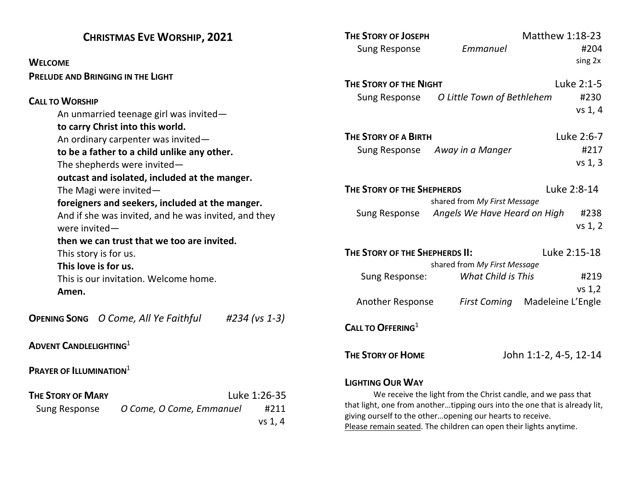| <b>CHRISTMAS EVE WORSHIP, 2021</b>                   |                                               |               | <b>THE STORY OF JOSEPH</b>                                                                                                                                                                                   |                                                               | Matthew 1:18-23        |
|------------------------------------------------------|-----------------------------------------------|---------------|--------------------------------------------------------------------------------------------------------------------------------------------------------------------------------------------------------------|---------------------------------------------------------------|------------------------|
|                                                      |                                               |               | <b>Sung Response</b>                                                                                                                                                                                         | Emmanuel                                                      | #204                   |
| <b>WELCOME</b>                                       |                                               |               |                                                                                                                                                                                                              |                                                               | sing 2x                |
| <b>PRELUDE AND BRINGING IN THE LIGHT</b>             |                                               |               | <b>THE STORY OF THE NIGHT</b>                                                                                                                                                                                |                                                               | Luke 2:1-5             |
|                                                      |                                               |               |                                                                                                                                                                                                              |                                                               |                        |
| <b>CALL TO WORSHIP</b>                               |                                               |               | <b>Sung Response</b>                                                                                                                                                                                         | O Little Town of Bethlehem                                    | #230                   |
|                                                      | An unmarried teenage girl was invited-        |               |                                                                                                                                                                                                              |                                                               | vs 1, 4                |
|                                                      | to carry Christ into this world.              |               |                                                                                                                                                                                                              |                                                               |                        |
| An ordinary carpenter was invited-                   |                                               |               | THE STORY OF A BIRTH                                                                                                                                                                                         |                                                               | Luke 2:6-7             |
| to be a father to a child unlike any other.          |                                               |               | <b>Sung Response</b>                                                                                                                                                                                         | Away in a Manger                                              | #217                   |
| The shepherds were invited-                          |                                               |               |                                                                                                                                                                                                              |                                                               | $vs$ 1, 3              |
|                                                      | outcast and isolated, included at the manger. |               |                                                                                                                                                                                                              |                                                               |                        |
| The Magi were invited-                               |                                               |               | THE STORY OF THE SHEPHERDS<br>Luke 2:8-14                                                                                                                                                                    |                                                               |                        |
| foreigners and seekers, included at the manger.      |                                               |               |                                                                                                                                                                                                              | shared from My First Message                                  |                        |
| And if she was invited, and he was invited, and they |                                               |               | Sung Response                                                                                                                                                                                                | Angels We Have Heard on High                                  | #238                   |
| were invited $-$                                     |                                               |               |                                                                                                                                                                                                              |                                                               | $vs$ 1, 2              |
|                                                      | then we can trust that we too are invited.    |               |                                                                                                                                                                                                              |                                                               |                        |
| This story is for us.                                |                                               |               | THE STORY OF THE SHEPHERDS II:<br>Luke 2:15-18                                                                                                                                                               |                                                               |                        |
| This love is for us.                                 |                                               |               | shared from My First Message                                                                                                                                                                                 |                                                               |                        |
| This is our invitation. Welcome home.                |                                               |               | Sung Response:                                                                                                                                                                                               | <b>What Child is This</b>                                     | #219                   |
| Amen.                                                |                                               |               |                                                                                                                                                                                                              |                                                               | $vs$ 1,2               |
|                                                      |                                               |               | Another Response                                                                                                                                                                                             | <b>First Coming</b>                                           | Madeleine L'Engle      |
|                                                      | <b>OPENING SONG</b> O Come, All Ye Faithful   | #234 (vs 1-3) |                                                                                                                                                                                                              |                                                               |                        |
|                                                      |                                               |               | CALL TO OFFERING <sup>1</sup>                                                                                                                                                                                |                                                               |                        |
| <b>ADVENT CANDLELIGHTING</b> <sup>1</sup>            |                                               |               |                                                                                                                                                                                                              |                                                               |                        |
|                                                      |                                               |               | <b>THE STORY OF HOME</b>                                                                                                                                                                                     |                                                               | John 1:1-2, 4-5, 12-14 |
| <b>PRAYER OF ILLUMINATION</b> <sup>1</sup>           |                                               |               |                                                                                                                                                                                                              |                                                               |                        |
|                                                      |                                               |               | <b>LIGHTING OUR WAY</b>                                                                                                                                                                                      |                                                               |                        |
| <b>THE STORY OF MARY</b>                             | Luke 1:26-35                                  |               |                                                                                                                                                                                                              | We receive the light from the Christ candle, and we pass that |                        |
| <b>Sung Response</b>                                 | O Come, O Come, Emmanuel                      | #211          | that light, one from anothertipping ours into the one that is already lit,<br>giving ourself to the otheropening our hearts to receive.<br>Please remain seated. The children can open their lights anytime. |                                                               |                        |
|                                                      |                                               | vs 1, 4       |                                                                                                                                                                                                              |                                                               |                        |
|                                                      |                                               |               |                                                                                                                                                                                                              |                                                               |                        |